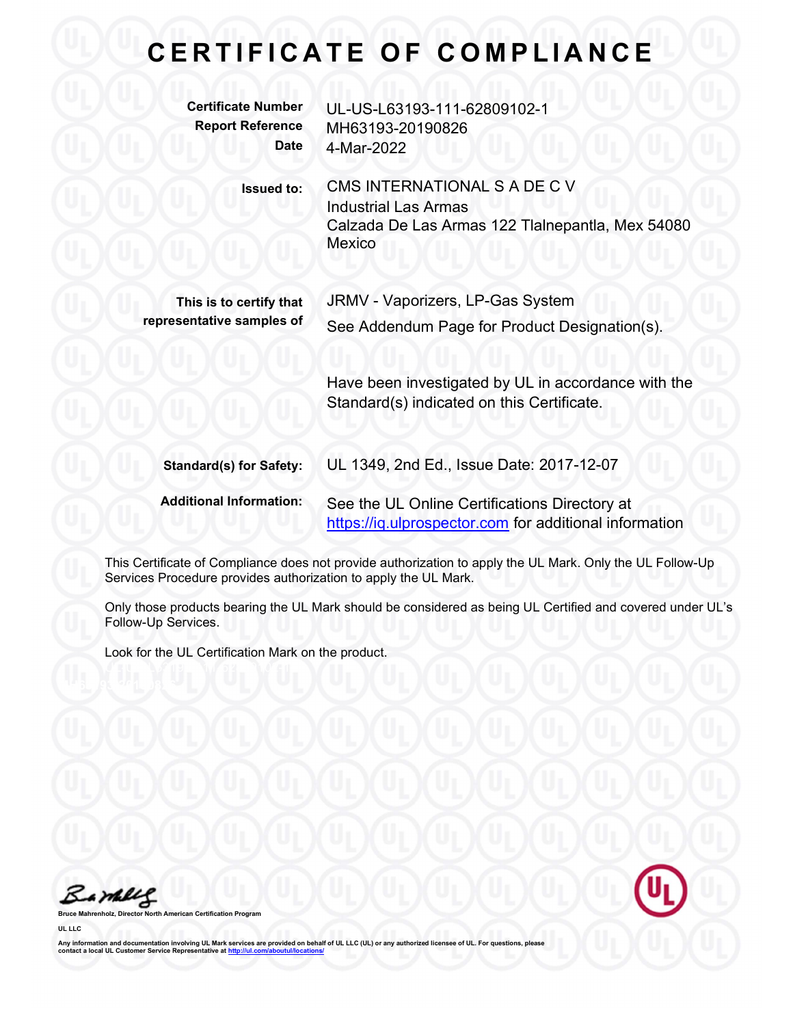| <b>Certificate Number</b><br><b>Report Reference</b><br><b>Date</b> | UL-US-L63193-111-62809102-1<br>MH63193-20190826<br>4-Mar-2022                                                             |
|---------------------------------------------------------------------|---------------------------------------------------------------------------------------------------------------------------|
| <b>Issued to:</b>                                                   | CMS INTERNATIONAL S A DE C V<br><b>Industrial Las Armas</b><br>Calzada De Las Armas 122 Tlalnepantla, Mex 54080<br>Mexico |
| This is to certify that<br>representative samples of                | JRMV - Vaporizers, LP-Gas System<br>See Addendum Page for Product Designation(s).                                         |
|                                                                     | Have been investigated by UL in accordance with the<br>Standard(s) indicated on this Certificate.                         |
| <b>Standard(s) for Safety:</b>                                      | UL 1349, 2nd Ed., Issue Date: 2017-12-07                                                                                  |
| <b>Additional Information:</b>                                      | See the UL Online Certifications Directory at<br>https://iq.ulprospector.com for additional information                   |

This Certificate of Compliance does not provide authorization to apply the UL Mark. Only the UL Follow-Up Services Procedure provides authorization to apply the UL Mark.

Only those products bearing the UL Mark should be considered as being UL Certified and covered under UL's Follow-Up Services.

Look for the UL Certification Mark on the product.

Bambles

**Brogram** 

UL LLC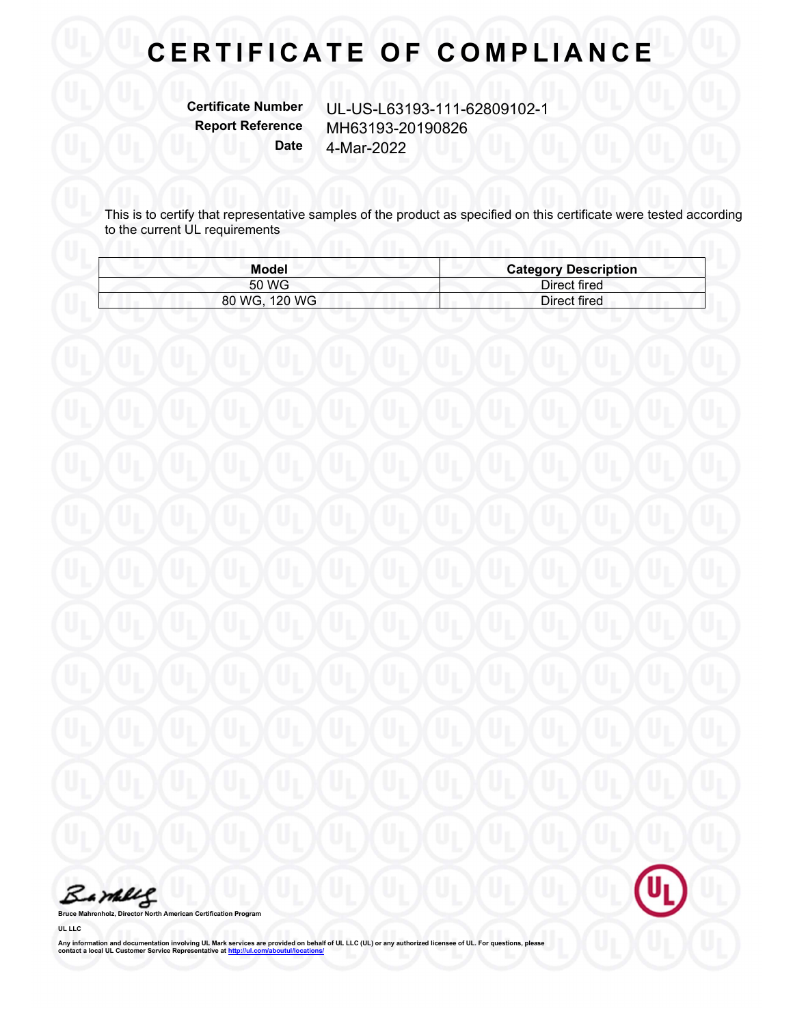Certificate Number UL-US-L63193-111-62809102-1 Report Reference MH63193-20190826 Date 4-Mar-2022

This is to certify that representative samples of the product as specified on this certificate were tested according to the current UL requirements

| Model         | <b>Category Description</b> |
|---------------|-----------------------------|
| 50 WG         | Direct fired                |
| 80 WG, 120 WG | Direct fired                |

Barkey

Bruce Mahrenholz, Director North American Certification Program

UL LLC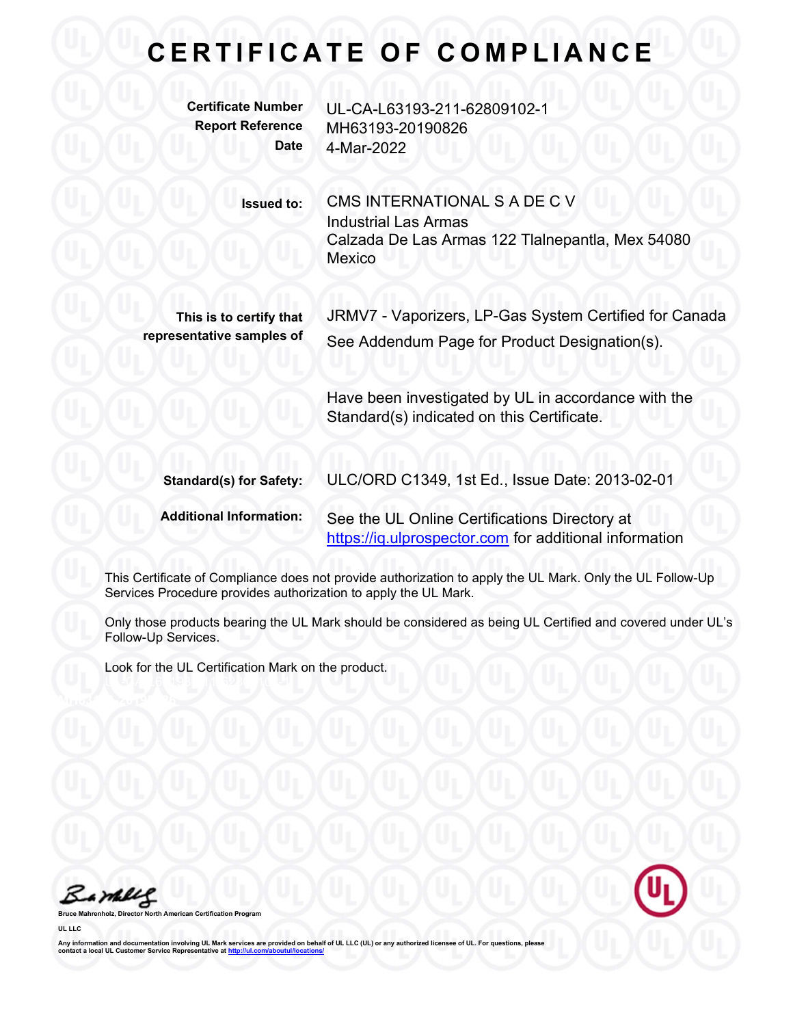| <b>Certificate Number</b><br><b>Report Reference</b><br><b>Date</b> | UL-CA-L63193-211-62809102-1<br>MH63193-20190826<br>4-Mar-2022                                                             |
|---------------------------------------------------------------------|---------------------------------------------------------------------------------------------------------------------------|
| <b>Issued to:</b>                                                   | CMS INTERNATIONAL S A DE C V<br><b>Industrial Las Armas</b><br>Calzada De Las Armas 122 Tlalnepantla, Mex 54080<br>Mexico |
| This is to certify that<br>representative samples of                | JRMV7 - Vaporizers, LP-Gas System Certified for Canada<br>See Addendum Page for Product Designation(s).                   |
|                                                                     | Have been investigated by UL in accordance with the<br>Standard(s) indicated on this Certificate.                         |
| <b>Standard(s) for Safety:</b>                                      | ULC/ORD C1349, 1st Ed., Issue Date: 2013-02-01                                                                            |
| <b>Additional Information:</b>                                      | See the UL Online Certifications Directory at<br>https://iq.ulprospector.com for additional information                   |

This Certificate of Compliance does not provide authorization to apply the UL Mark. Only the UL Follow-Up Services Procedure provides authorization to apply the UL Mark.

Only those products bearing the UL Mark should be considered as being UL Certified and covered under UL's Follow-Up Services.

Look for the UL Certification Mark on the product.

Barbles

**Broard** 

UL LLC